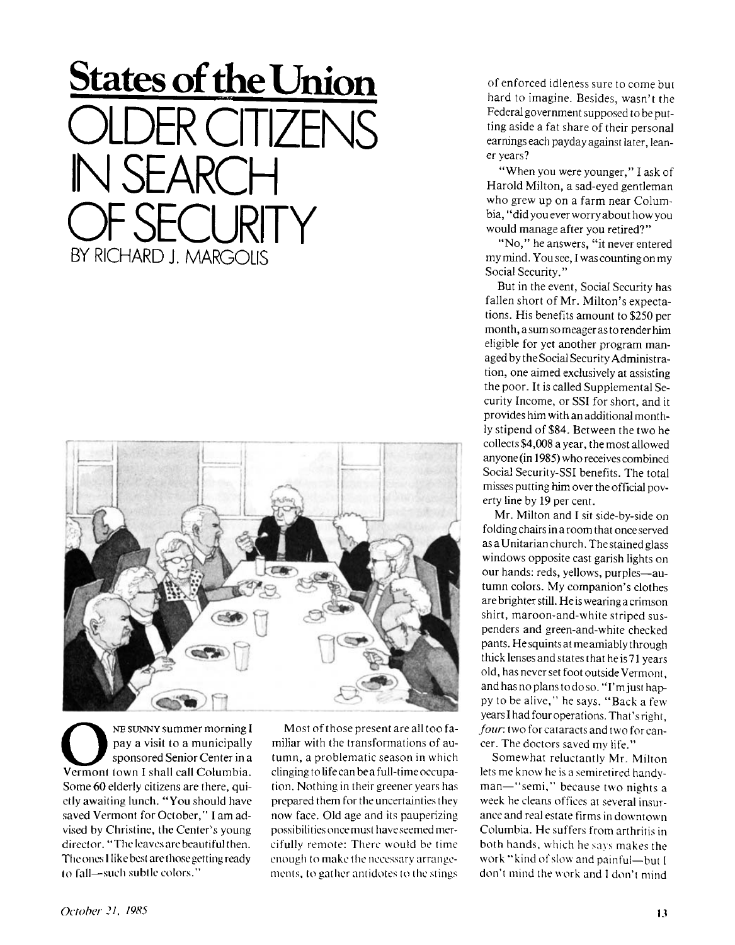## **States of the Union**  OER CITIZEN  $H \rightarrow H$ OF SECURITY BY RICHARD J. MARGOLIS



NE SUNNY summer morning I<br>
pay a visit to a municipally<br>
vermont town I shall call Columbia. NE SUNNY summer morning I pay a visit to a municipally sponsored Senior Center in a Some 60 elderly citizens are there, quietly awaiting lunch. "You should have saved Vermont for October," I am advised by Christine, the Center's young director. "The leaves are beautiful then. The ones I like best are those getting ready to fall-such subtle colors."

Most of those present are all too familiar with the transformations of autumn, a problematic season in which clinging to life can be a full-time occupa tion. Nothing in their greener years has prepared them for the uncertainties they now face. Old age and its pauperizing possibilities once must have seemed mercifully remote: There would be time enough to make the necessary arrangements, to gather antidotes to the stings

of enforced idleness sure to come but hard to imagine. Besides, wasn't the Federal government supposed to be putting aside a fat share of their personal earnings each payday against later, leaner years?

"When you were younger," I ask of Harold Milton, a sad-eyed gentleman who grew up on a farm near Columbia, "did you ever worry about how you would manage after you retired?"

"No," he answers, "it never entered my mind. You see, I was counting on my Social Security."

But in the event, Social Security has fallen short of Mr. Milton's expectations. His benefits amount to \$250 per month, a sum so meager as to render him eligible for yet another program managed by the Social Security Administration, one aimed exclusively at assisting the poor. It is called Supplemental Security Income, or SSI for short, and it provides him with an additional monthly stipend of \$84. Between the two he collects \$4,008 a year, the most allowed anyone (in 1985) who receives combined Social Security-SSI benefits. The total misses putting him over the official poverty line by 19 per cent.

Mr. Milton and I sit side-by-side on folding chairs in a room that once served as a Unitarian church. The stained glass windows opposite cast garish lights on our hands: reds, yellows, purples-autumn colors. My companion's clothes are brighter still. He is wearing a crimson shirt, maroon-and-white striped suspenders and green-and-white checked pants. He squints at me amiably through thick lenses and states that he is 71 years old, has never set foot outside Vermont, and has no plans to do so. "I'm just happy to be alive," he says. "Back a few years I had four operations. That's right, *four,* two for cataracts and two for cancer. The doctors saved my life."

Somewhat reluctantly Mr. Milton lets me know he is a semiretired handyman—"semi," because two nights a week he cleans offices at several insurance and real estate firms in downtown Columbia. He suffers from arthritis in both hands, which he says makes the work "kind of slow and painful—but I don't mind the work and I don't mind